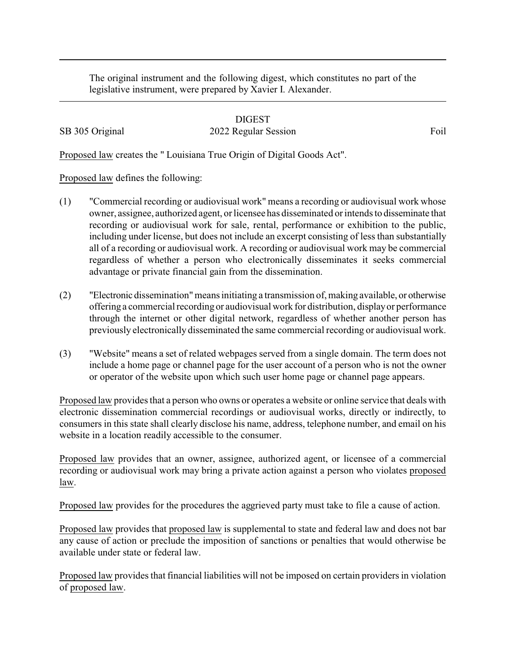The original instrument and the following digest, which constitutes no part of the legislative instrument, were prepared by Xavier I. Alexander.

## DIGEST SB 305 Original 2022 Regular Session Foil

Proposed law creates the " Louisiana True Origin of Digital Goods Act".

Proposed law defines the following:

- (1) "Commercial recording or audiovisual work" means a recording or audiovisual work whose owner, assignee, authorized agent, or licensee has disseminated or intends to disseminate that recording or audiovisual work for sale, rental, performance or exhibition to the public, including under license, but does not include an excerpt consisting of less than substantially all of a recording or audiovisual work. A recording or audiovisual work may be commercial regardless of whether a person who electronically disseminates it seeks commercial advantage or private financial gain from the dissemination.
- (2) "Electronic dissemination"means initiating a transmission of, making available, or otherwise offering a commercial recording or audiovisual work for distribution, displayor performance through the internet or other digital network, regardless of whether another person has previously electronically disseminated the same commercial recording or audiovisual work.
- (3) "Website" means a set of related webpages served from a single domain. The term does not include a home page or channel page for the user account of a person who is not the owner or operator of the website upon which such user home page or channel page appears.

Proposed law provides that a person who owns or operates a website or online service that deals with electronic dissemination commercial recordings or audiovisual works, directly or indirectly, to consumers in this state shall clearly disclose his name, address, telephone number, and email on his website in a location readily accessible to the consumer.

Proposed law provides that an owner, assignee, authorized agent, or licensee of a commercial recording or audiovisual work may bring a private action against a person who violates proposed law.

Proposed law provides for the procedures the aggrieved party must take to file a cause of action.

Proposed law provides that proposed law is supplemental to state and federal law and does not bar any cause of action or preclude the imposition of sanctions or penalties that would otherwise be available under state or federal law.

Proposed law provides that financial liabilities will not be imposed on certain providers in violation of proposed law.